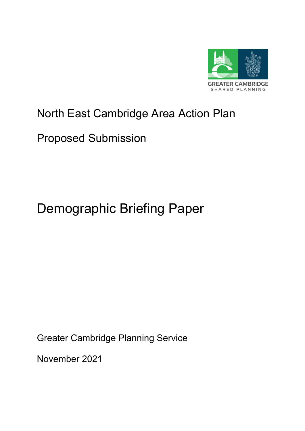

# North East Cambridge Area Action Plan

# Proposed Submission

# Demographic Briefing Paper

Greater Cambridge Planning Service

November 2021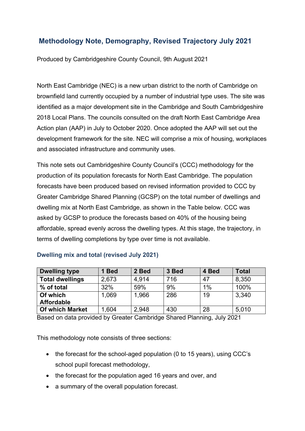# **Methodology Note, Demography, Revised Trajectory July 2021**

Produced by Cambridgeshire County Council, 9th August 2021

North East Cambridge (NEC) is a new urban district to the north of Cambridge on brownfield land currently occupied by a number of industrial type uses. The site was identified as a major development site in the Cambridge and South Cambridgeshire 2018 Local Plans. The councils consulted on the draft North East Cambridge Area Action plan (AAP) in July to October 2020. Once adopted the AAP will set out the development framework for the site. NEC will comprise a mix of housing, workplaces and associated infrastructure and community uses.

This note sets out Cambridgeshire County Council's (CCC) methodology for the production of its population forecasts for North East Cambridge. The population forecasts have been produced based on revised information provided to CCC by Greater Cambridge Shared Planning (GCSP) on the total number of dwellings and dwelling mix at North East Cambridge, as shown in the Table below. CCC was asked by GCSP to produce the forecasts based on 40% of the housing being affordable, spread evenly across the dwelling types. At this stage, the trajectory, in terms of dwelling completions by type over time is not available.

#### **Dwelling mix and total (revised July 2021)**

| <b>Dwelling type</b>   | 1 Bed | 2 Bed | 3 Bed | 4 Bed | Total |
|------------------------|-------|-------|-------|-------|-------|
| <b>Total dwellings</b> | 2,673 | 4,914 | 716   | 47    | 8,350 |
| % of total             | 32%   | 59%   | 9%    | 1%    | 100%  |
| Of which               | 1,069 | 1,966 | 286   | 19    | 3,340 |
| <b>Affordable</b>      |       |       |       |       |       |
| <b>Of which Market</b> | .604  | 2,948 | 430   | 28    | 5,010 |

Based on data provided by Greater Cambridge Shared Planning, July 2021

This methodology note consists of three sections:

- the forecast for the school-aged population (0 to 15 years), using CCC's school pupil forecast methodology,
- the forecast for the population aged 16 years and over, and
- a summary of the overall population forecast.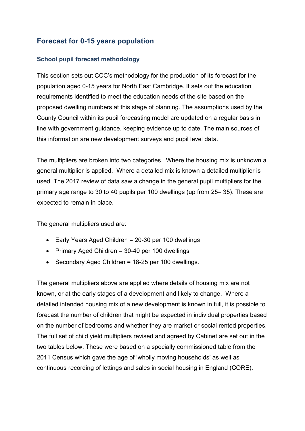## **Forecast for 0-15 years population**

#### **School pupil forecast methodology**

This section sets out CCC's methodology for the production of its forecast for the population aged 0-15 years for North East Cambridge. It sets out the education requirements identified to meet the education needs of the site based on the proposed dwelling numbers at this stage of planning. The assumptions used by the County Council within its pupil forecasting model are updated on a regular basis in line with government guidance, keeping evidence up to date. The main sources of this information are new development surveys and pupil level data.

The multipliers are broken into two categories. Where the housing mix is unknown a general multiplier is applied. Where a detailed mix is known a detailed multiplier is used. The 2017 review of data saw a change in the general pupil multipliers for the primary age range to 30 to 40 pupils per 100 dwellings (up from 25– 35). These are expected to remain in place.

The general multipliers used are:

- Early Years Aged Children = 20-30 per 100 dwellings
- Primary Aged Children = 30-40 per 100 dwellings
- Secondary Aged Children = 18-25 per 100 dwellings.

The general multipliers above are applied where details of housing mix are not known, or at the early stages of a development and likely to change. Where a detailed intended housing mix of a new development is known in full, it is possible to forecast the number of children that might be expected in individual properties based on the number of bedrooms and whether they are market or social rented properties. The full set of child yield multipliers revised and agreed by Cabinet are set out in the two tables below. These were based on a specially commissioned table from the 2011 Census which gave the age of 'wholly moving households' as well as continuous recording of lettings and sales in social housing in England (CORE).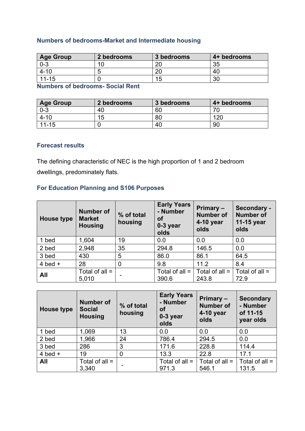### **Numbers of bedrooms-Market and Intermediate housing**

| <b>Age Group</b> | 2 bedrooms | 3 bedrooms | 4+ bedrooms |
|------------------|------------|------------|-------------|
| $0 - 3$          | 1∩         | റ്റ        | 35          |
| $4 - 10$         | ∽          | റ്റ        | 40          |
| $11 - 15$        |            | 15         | 30          |

**Numbers of bedrooms- Social Rent** 

| <b>Age Group</b> | 2 bedrooms | 3 bedrooms | 4+ bedrooms |
|------------------|------------|------------|-------------|
| $0 - 3$          | 40         | 60         |             |
| $4 - 10$         | 15         | 80         | 120         |
| $11 - 15$        |            | 40         | 90          |

#### **Forecast results**

The defining characteristic of NEC is the high proportion of 1 and 2 bedroom dwellings, predominately flats.

#### **For Education Planning and S106 Purposes**

| <b>House type</b> | <b>Number of</b><br><b>Market</b><br><b>Housing</b> | % of total<br>housing | <b>Early Years</b><br>- Number<br>οf<br>0-3 year<br>olds | Primary -<br><b>Number of</b><br>4-10 year<br>olds | Secondary -<br><b>Number of</b><br>11-15 year<br>olds |
|-------------------|-----------------------------------------------------|-----------------------|----------------------------------------------------------|----------------------------------------------------|-------------------------------------------------------|
| 1 bed             | 1,604                                               | 19                    | 0.0                                                      | 0.0                                                | 0.0                                                   |
| 2 bed             | 2,948                                               | 35                    | 294.8                                                    | 146.5                                              | 0.0                                                   |
| 3 bed             | 430                                                 | 5                     | 86.0                                                     | 86.1                                               | 64.5                                                  |
| 4 bed $+$         | 28                                                  | 0                     | 9.8                                                      | 11.2                                               | 8.4                                                   |
| All               | Total of all $=$<br>5,010                           |                       | Total of all $=$<br>390.6                                | Total of all $=$<br>243.8                          | Total of all $=$<br>72.9                              |

| House type | Number of<br><b>Social</b><br><b>Housing</b> | % of total<br>housing | <b>Early Years</b><br>- Number<br>οf<br>0-3 year<br>olds | Primary -<br><b>Number of</b><br>4-10 year<br>olds | <b>Secondary</b><br>- Number<br>of 11-15<br>year olds |
|------------|----------------------------------------------|-----------------------|----------------------------------------------------------|----------------------------------------------------|-------------------------------------------------------|
| 1 bed      | 1,069                                        | 13                    | 0.0                                                      | 0.0                                                | 0.0                                                   |
| 2 bed      | 1,966                                        | 24                    | 786.4                                                    | 294.5                                              | 0.0                                                   |
| 3 bed      | 286                                          | 3                     | 171.6                                                    | 228.8                                              | 114.4                                                 |
| 4 bed $+$  | 19                                           | 0                     | 13.3                                                     | 22.8                                               | 17.1                                                  |
| All        | Total of all $=$<br>3,340                    |                       | Total of all $=$<br>971.3                                | Total of all $=$<br>546.1                          | Total of all =<br>131.5                               |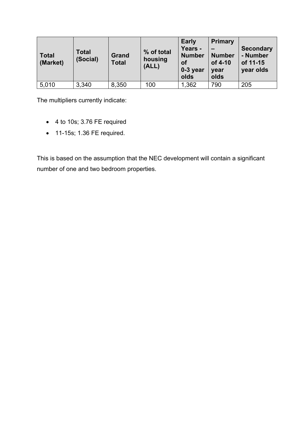| <b>Total</b><br>(Market) | <b>Total</b><br>(Social) | Grand<br><b>Total</b> | % of total<br>housing<br>(ALL) | <b>Early</b><br>Years -<br><b>Number</b><br>οf<br>0-3 year<br>olds | <b>Primary</b><br><b>Number</b><br>of 4-10<br>year<br>olds | <b>Secondary</b><br>- Number<br>of 11-15<br>year olds |
|--------------------------|--------------------------|-----------------------|--------------------------------|--------------------------------------------------------------------|------------------------------------------------------------|-------------------------------------------------------|
| 5,010                    | 3,340                    | 8,350                 | 100                            | 1,362                                                              | 790                                                        | 205                                                   |

The multipliers currently indicate:

- 4 to 10s; 3.76 FE required
- 11-15s; 1.36 FE required.

This is based on the assumption that the NEC development will contain a significant number of one and two bedroom properties.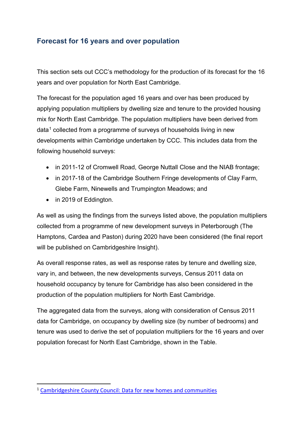## **Forecast for 16 years and over population**

This section sets out CCC's methodology for the production of its forecast for the 16 years and over population for North East Cambridge.

The forecast for the population aged 16 years and over has been produced by applying population multipliers by dwelling size and tenure to the provided housing mix for North East Cambridge. The population multipliers have been derived from  $data<sup>1</sup>$  $data<sup>1</sup>$  $data<sup>1</sup>$  collected from a programme of surveys of households living in new developments within Cambridge undertaken by CCC. This includes data from the following household surveys:

- in 2011-12 of Cromwell Road, George Nuttall Close and the NIAB frontage;
- in 2017-18 of the Cambridge Southern Fringe developments of Clay Farm, Glebe Farm, Ninewells and Trumpington Meadows; and
- in 2019 of Eddington.

As well as using the findings from the surveys listed above, the population multipliers collected from a programme of new development surveys in Peterborough (The Hamptons, Cardea and Paston) during 2020 have been considered (the final report will be published on Cambridgeshire Insight).

As overall response rates, as well as response rates by tenure and dwelling size, vary in, and between, the new developments surveys, Census 2011 data on household occupancy by tenure for Cambridge has also been considered in the production of the population multipliers for North East Cambridge.

The aggregated data from the surveys, along with consideration of Census 2011 data for Cambridge, on occupancy by dwelling size (by number of bedrooms) and tenure was used to derive the set of population multipliers for the 16 years and over population forecast for North East Cambridge, shown in the Table.

<span id="page-5-0"></span><sup>1</sup> [Cambridgeshire County Council:](https://cambridgeshireinsight.org.uk/housing/priority-themes/new-homes-communities/) Data for new homes and communities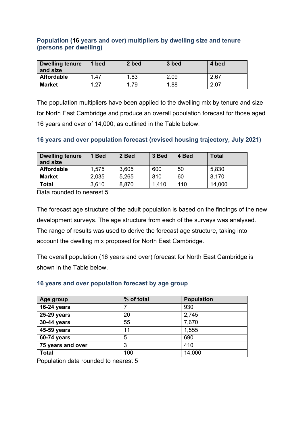#### **Population (16 years and over) multipliers by dwelling size and tenure (persons per dwelling)**

| Dwelling tenure<br>and size | bed  | 2 bed | 3 bed | 4 bed |
|-----------------------------|------|-------|-------|-------|
| Affordable                  | 1.47 | 1.83  | 2.09  | 2.67  |
| <b>Market</b>               | .27  | 1.79  | 1.88  | 2.07  |

The population multipliers have been applied to the dwelling mix by tenure and size for North East Cambridge and produce an overall population forecast for those aged 16 years and over of 14,000, as outlined in the Table below.

#### **16 years and over population forecast (revised housing trajectory, July 2021)**

| <b>Dwelling tenure</b><br>and size | <b>Bed</b> | 2 Bed | 3 Bed | 4 Bed | Total  |
|------------------------------------|------------|-------|-------|-------|--------|
| <b>Affordable</b>                  | 1,575      | 3,605 | 600   | 50    | 5,830  |
| <b>Market</b>                      | 2,035      | 5,265 | 810   | 60    | 8,170  |
| Total                              | 3,610      | 8,870 | 1,410 | 110   | 14,000 |

Data rounded to nearest 5

The forecast age structure of the adult population is based on the findings of the new development surveys. The age structure from each of the surveys was analysed. The range of results was used to derive the forecast age structure, taking into account the dwelling mix proposed for North East Cambridge.

The overall population (16 years and over) forecast for North East Cambridge is shown in the Table below.

#### **16 years and over population forecast by age group**

| Age group         | % of total | <b>Population</b> |
|-------------------|------------|-------------------|
| 16-24 years       |            | 930               |
| 25-29 years       | 20         | 2,745             |
| 30-44 years       | 55         | 7,670             |
| 45-59 years       | 11         | 1,555             |
| 60-74 years       | 5          | 690               |
| 75 years and over | 3          | 410               |
| <b>Total</b>      | 100        | 14,000            |

Population data rounded to nearest 5